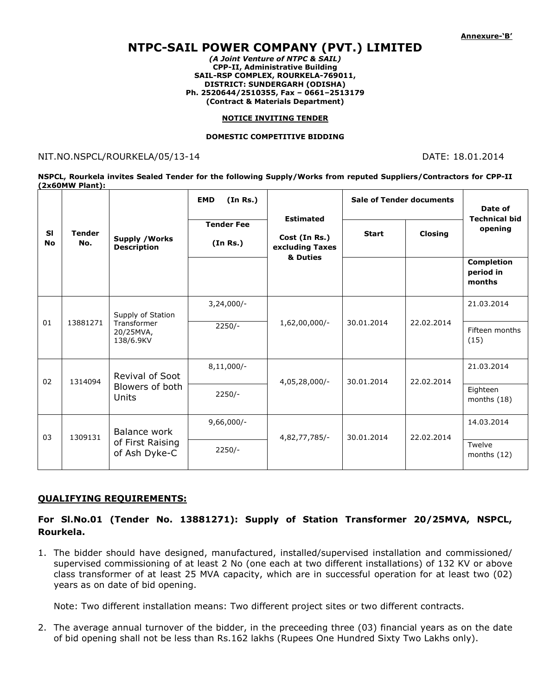# NTPC-SAIL POWER COMPANY (PVT.) LIMITED

(A Joint Venture of NTPC & SAIL) CPP-II, Administrative Building SAIL-RSP COMPLEX, ROURKELA-769011, DISTRICT: SUNDERGARH (ODISHA) Ph. 2520644/2510355, Fax – 0661–2513179 (Contract & Materials Department)

#### NOTICE INVITING TENDER

#### DOMESTIC COMPETITIVE BIDDING

#### NIT.NO.NSPCL/ROURKELA/05/13-14 DATE: 18.01.2014

NSPCL, Rourkela invites Sealed Tender for the following Supply/Works from reputed Suppliers/Contractors for CPP-II (2x60MW Plant):

| <b>SI</b><br><b>No</b> | <b>Tender</b><br>No. | <b>Supply / Works</b><br><b>Description</b>                | (In Rs.)<br><b>EMD</b>        | <b>Estimated</b><br>Cost (In Rs.)<br>excluding Taxes<br>& Duties | <b>Sale of Tender documents</b> |                | Date of<br><b>Technical bid</b>          |
|------------------------|----------------------|------------------------------------------------------------|-------------------------------|------------------------------------------------------------------|---------------------------------|----------------|------------------------------------------|
|                        |                      |                                                            | <b>Tender Fee</b><br>(In Rs.) |                                                                  | <b>Start</b>                    | <b>Closing</b> | opening                                  |
|                        |                      |                                                            |                               |                                                                  |                                 |                | <b>Completion</b><br>period in<br>months |
| 01                     | 13881271             | Supply of Station<br>Transformer<br>20/25MVA,<br>138/6.9KV | $3,24,000/-$                  | 1,62,00,000/-                                                    | 30.01.2014                      | 22.02.2014     | 21.03.2014                               |
|                        |                      |                                                            | $2250/-$                      |                                                                  |                                 |                | Fifteen months<br>(15)                   |
| 02                     | 1314094              | Revival of Soot<br>Blowers of both<br>Units                | $8,11,000/-$                  | $4,05,28,000/-$                                                  | 30.01.2014                      | 22.02.2014     | 21.03.2014                               |
|                        |                      |                                                            | $2250/-$                      |                                                                  |                                 |                | Eighteen<br>months (18)                  |
| 03                     | 1309131              | Balance work<br>of First Raising<br>of Ash Dyke-C          | $9,66,000/-$                  | 4,82,77,785/-                                                    | 30.01.2014                      | 22.02.2014     | 14.03.2014                               |
|                        |                      |                                                            | $2250/-$                      |                                                                  |                                 |                | Twelve<br>months $(12)$                  |

#### QUALIFYING REQUIREMENTS:

### For Sl.No.01 (Tender No. 13881271): Supply of Station Transformer 20/25MVA, NSPCL, Rourkela.

1. The bidder should have designed, manufactured, installed/supervised installation and commissioned/ supervised commissioning of at least 2 No (one each at two different installations) of 132 KV or above class transformer of at least 25 MVA capacity, which are in successful operation for at least two (02) years as on date of bid opening.

Note: Two different installation means: Two different project sites or two different contracts.

2. The average annual turnover of the bidder, in the preceeding three (03) financial years as on the date of bid opening shall not be less than Rs.162 lakhs (Rupees One Hundred Sixty Two Lakhs only).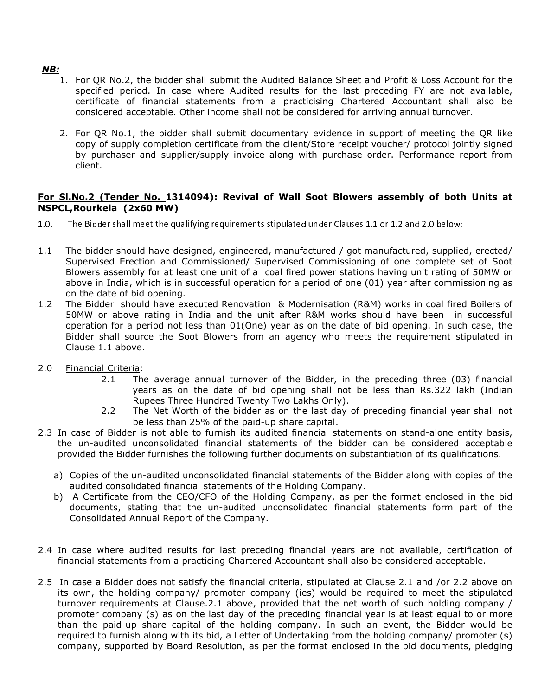## NB:

- 1. For QR No.2, the bidder shall submit the Audited Balance Sheet and Profit & Loss Account for the specified period. In case where Audited results for the last preceding FY are not available, certificate of financial statements from a practicising Chartered Accountant shall also be considered acceptable. Other income shall not be considered for arriving annual turnover.
- 2. For QR No.1, the bidder shall submit documentary evidence in support of meeting the QR like copy of supply completion certificate from the client/Store receipt voucher/ protocol jointly signed by purchaser and supplier/supply invoice along with purchase order. Performance report from client.

#### For Sl.No.2 (Tender No. 1314094): Revival of Wall Soot Blowers assembly of both Units at NSPCL,Rourkela (2x60 MW)

- $1.0.$ The Bidder shall meet the qualifying requirements stipulated under Clauses 1.1 or 1.2 and 2.0 below
- 1.1 The bidder should have designed, engineered, manufactured / got manufactured, supplied, erected/ Supervised Erection and Commissioned/ Supervised Commissioning of one complete set of Soot Blowers assembly for at least one unit of a coal fired power stations having unit rating of 50MW or above in India, which is in successful operation for a period of one (01) year after commissioning as on the date of bid opening.
- 1.2 The Bidder should have executed Renovation & Modernisation (R&M) works in coal fired Boilers of 50MW or above rating in India and the unit after R&M works should have been in successful operation for a period not less than 01(One) year as on the date of bid opening. In such case, the Bidder shall source the Soot Blowers from an agency who meets the requirement stipulated in Clause 1.1 above.
- 2.0 Financial Criteria:
	- 2.1 The average annual turnover of the Bidder, in the preceding three (03) financial years as on the date of bid opening shall not be less than Rs.322 lakh (Indian Rupees Three Hundred Twenty Two Lakhs Only).
	- 2.2 The Net Worth of the bidder as on the last day of preceding financial year shall not be less than 25% of the paid-up share capital.
- 2.3 In case of Bidder is not able to furnish its audited financial statements on stand-alone entity basis, the un-audited unconsolidated financial statements of the bidder can be considered acceptable provided the Bidder furnishes the following further documents on substantiation of its qualifications.
	- a) Copies of the un-audited unconsolidated financial statements of the Bidder along with copies of the audited consolidated financial statements of the Holding Company.
	- b) A Certificate from the CEO/CFO of the Holding Company, as per the format enclosed in the bid documents, stating that the un-audited unconsolidated financial statements form part of the Consolidated Annual Report of the Company.
- 2.4 In case where audited results for last preceding financial years are not available, certification of financial statements from a practicing Chartered Accountant shall also be considered acceptable.
- 2.5 In case a Bidder does not satisfy the financial criteria, stipulated at Clause 2.1 and /or 2.2 above on its own, the holding company/ promoter company (ies) would be required to meet the stipulated turnover requirements at Clause.2.1 above, provided that the net worth of such holding company / promoter company (s) as on the last day of the preceding financial year is at least equal to or more than the paid-up share capital of the holding company. In such an event, the Bidder would be required to furnish along with its bid, a Letter of Undertaking from the holding company/ promoter (s) company, supported by Board Resolution, as per the format enclosed in the bid documents, pledging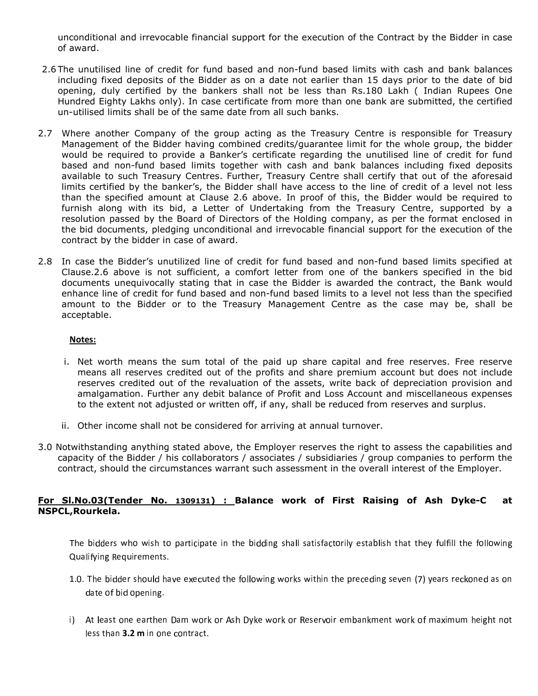unconditional and irrevocable financial support for the execution of the Contract by the Bidder in case of award.

- 2.6 The unutilised line of credit for fund based and non-fund based limits with cash and bank balances including fixed deposits of the Bidder as on a date not earlier than 15 days prior to the date of bid opening, duly certified by the bankers shall not be less than Rs.180 Lakh ( Indian Rupees One Hundred Eighty Lakhs only). In case certificate from more than one bank are submitted, the certified un-utilised limits shall be of the same date from all such banks.
- 2.7 Where another Company of the group acting as the Treasury Centre is responsible for Treasury Management of the Bidder having combined credits/guarantee limit for the whole group, the bidder would be required to provide a Banker's certificate regarding the unutilised line of credit for fund based and non-fund based limits together with cash and bank balances including fixed deposits available to such Treasury Centres. Further, Treasury Centre shall certify that out of the aforesaid limits certified by the banker's, the Bidder shall have access to the line of credit of a level not less than the specified amount at Clause 2.6 above. In proof of this, the Bidder would be required to furnish along with its bid, a Letter of Undertaking from the Treasury Centre, supported by a resolution passed by the Board of Directors of the Holding company, as per the format enclosed in the bid documents, pledging unconditional and irrevocable financial support for the execution of the contract by the bidder in case of award.
- 2.8 In case the Bidder's unutilized line of credit for fund based and non-fund based limits specified at Clause.2.6 above is not sufficient, a comfort letter from one of the bankers specified in the bid documents unequivocally stating that in case the Bidder is awarded the contract, the Bank would enhance line of credit for fund based and non-fund based limits to a level not less than the specified amount to the Bidder or to the Treasury Management Centre as the case may be, shall be acceptable.

#### Notes:

- i. Net worth means the sum total of the paid up share capital and free reserves. Free reserve means all reserves credited out of the profits and share premium account but does not include reserves credited out of the revaluation of the assets, write back of depreciation provision and amalgamation. Further any debit balance of Profit and Loss Account and miscellaneous expenses to the extent not adjusted or written off, if any, shall be reduced from reserves and surplus.
- ii. Other income shall not be considered for arriving at annual turnover.
- 3.0 Notwithstanding anything stated above, the Employer reserves the right to assess the capabilities and capacity of the Bidder / his collaborators / associates / subsidiaries / group companies to perform the contract, should the circumstances warrant such assessment in the overall interest of the Employer.

### For Sl.No.03(Tender No. 1309131) : Balance work of First Raising of Ash Dyke-C at NSPCL,Rourkela.

The bidders who wish to participate in the bidding shall satisfactorily establish that they fulfill the followin Qualifving Requirements.

- 1.0. The bidder should have executed the following works within the preceding seven (7) years reckoned as or date of bid opening.
- i) At least one earthen Dam work or Ash Dyke work or Reservoir embankment work of maximum height no less than  $3.2$  m in one contract.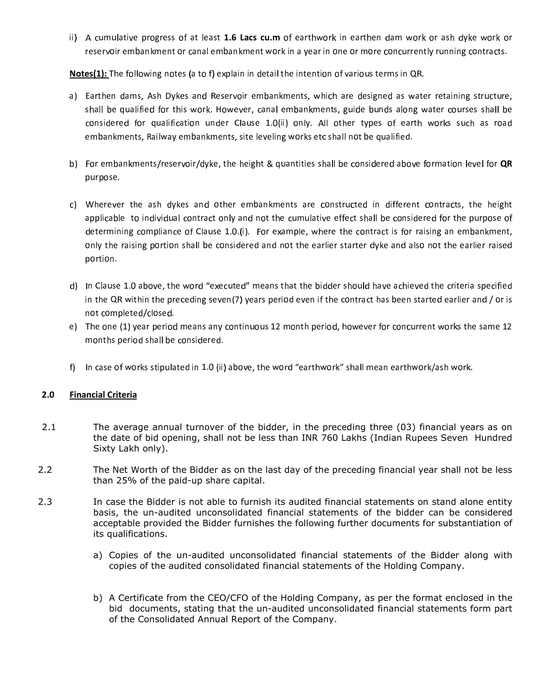ii) A cumulative progress of at least 1.6 Lacs cu.m of earthwork in earthen dam work or ash dyke work or reservoir embankment or canal embankment work in a year in one or more concurrently running contracts.

Notes(1): The following notes (a to f) explain in detail the intention of various terms in QR.

- a) Earthen dams, Ash Dykes and Reservoir embankments, which are designed as water retaining structure  ${\sf shall}$  be qualified for this work. However, canal embankments, guide bunds along water courses shall be considered for qualification under Clause 1.0(ii) only. All other types of earth works such as roa embankments, Railway embankments, site leveling works etc shall not be qualified.
- b) For embankments/reservoir/dyke, the height & quantities shall be considered above formation level for **QR** purpose.
- c) Wherever the ash dykes and other embankments are constructed in different contracts, the heigh applicable to individual contract only and not the cumulative effect shall be considered for the purpose o determining compliance of Clause 1.0.(i). For example, where the contract is for raising an embankment only the raising portion shall be considered and not the earlier starter dyke and also not the earlier raise portion.
- d) In Clause 1.0 above, the word "executed" means that the bidder should have achieved the criteria specifie in the QR within the preceding seven(7) years period even if the contract has been started earlier and / or  $\mathrm{i}$ not completed/closed.
- e) The one (1) year period means any continuous 12 month period, however for concurrent works the same 1 months period shall be considered.
- f) In case of works stipulated in 1.0 (ii) above, the word "earthwork" shall mean earthwork/ash work.

#### 2.0 Financial Criteria

- 2.1 The average annual turnover of the bidder, in the preceding three (03) financial years as on the date of bid opening, shall not be less than INR 760 Lakhs (Indian Rupees Seven Hundred Sixty Lakh only).
- 2.2 The Net Worth of the Bidder as on the last day of the preceding financial year shall not be less than 25% of the paid-up share capital.
- 2.3 In case the Bidder is not able to furnish its audited financial statements on stand alone entity basis, the un-audited unconsolidated financial statements of the bidder can be considered acceptable provided the Bidder furnishes the following further documents for substantiation of its qualifications.
	- a) Copies of the un-audited unconsolidated financial statements of the Bidder along with copies of the audited consolidated financial statements of the Holding Company.
	- b) A Certificate from the CEO/CFO of the Holding Company, as per the format enclosed in the bid documents, stating that the un-audited unconsolidated financial statements form part of the Consolidated Annual Report of the Company.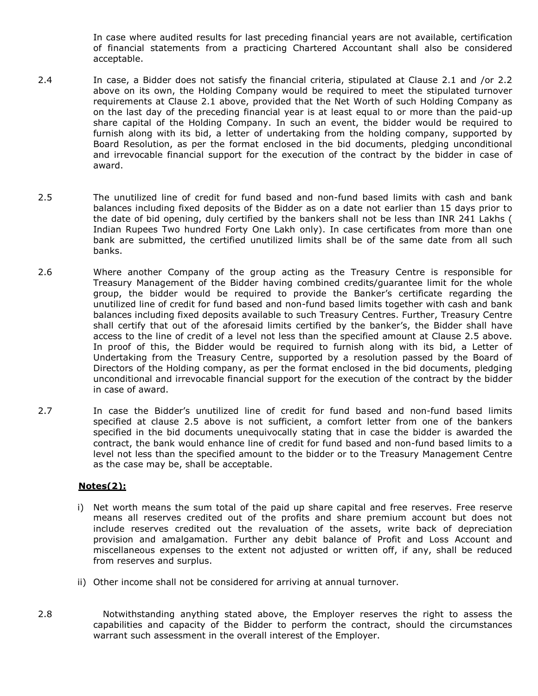In case where audited results for last preceding financial years are not available, certification of financial statements from a practicing Chartered Accountant shall also be considered acceptable.

- 2.4 In case, a Bidder does not satisfy the financial criteria, stipulated at Clause 2.1 and /or 2.2 above on its own, the Holding Company would be required to meet the stipulated turnover requirements at Clause 2.1 above, provided that the Net Worth of such Holding Company as on the last day of the preceding financial year is at least equal to or more than the paid-up share capital of the Holding Company. In such an event, the bidder would be required to furnish along with its bid, a letter of undertaking from the holding company, supported by Board Resolution, as per the format enclosed in the bid documents, pledging unconditional and irrevocable financial support for the execution of the contract by the bidder in case of award.
- 2.5 The unutilized line of credit for fund based and non-fund based limits with cash and bank balances including fixed deposits of the Bidder as on a date not earlier than 15 days prior to the date of bid opening, duly certified by the bankers shall not be less than INR 241 Lakhs ( Indian Rupees Two hundred Forty One Lakh only). In case certificates from more than one bank are submitted, the certified unutilized limits shall be of the same date from all such banks.
- 2.6 Where another Company of the group acting as the Treasury Centre is responsible for Treasury Management of the Bidder having combined credits/guarantee limit for the whole group, the bidder would be required to provide the Banker's certificate regarding the unutilized line of credit for fund based and non-fund based limits together with cash and bank balances including fixed deposits available to such Treasury Centres. Further, Treasury Centre shall certify that out of the aforesaid limits certified by the banker's, the Bidder shall have access to the line of credit of a level not less than the specified amount at Clause 2.5 above. In proof of this, the Bidder would be required to furnish along with its bid, a Letter of Undertaking from the Treasury Centre, supported by a resolution passed by the Board of Directors of the Holding company, as per the format enclosed in the bid documents, pledging unconditional and irrevocable financial support for the execution of the contract by the bidder in case of award.
- 2.7 In case the Bidder's unutilized line of credit for fund based and non-fund based limits specified at clause 2.5 above is not sufficient, a comfort letter from one of the bankers specified in the bid documents unequivocally stating that in case the bidder is awarded the contract, the bank would enhance line of credit for fund based and non-fund based limits to a level not less than the specified amount to the bidder or to the Treasury Management Centre as the case may be, shall be acceptable.

# Notes(2):

- i) Net worth means the sum total of the paid up share capital and free reserves. Free reserve means all reserves credited out of the profits and share premium account but does not include reserves credited out the revaluation of the assets, write back of depreciation provision and amalgamation. Further any debit balance of Profit and Loss Account and miscellaneous expenses to the extent not adjusted or written off, if any, shall be reduced from reserves and surplus.
- ii) Other income shall not be considered for arriving at annual turnover.
- 2.8 Notwithstanding anything stated above, the Employer reserves the right to assess the capabilities and capacity of the Bidder to perform the contract, should the circumstances warrant such assessment in the overall interest of the Employer.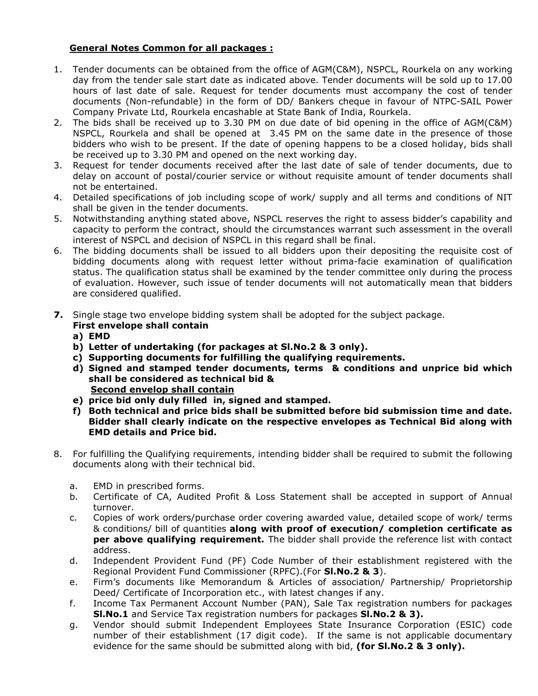# General Notes Common for all packages :

- 1. Tender documents can be obtained from the office of AGM(C&M), NSPCL, Rourkela on any working day from the tender sale start date as indicated above. Tender documents will be sold up to 17.00 hours of last date of sale. Request for tender documents must accompany the cost of tender documents (Non-refundable) in the form of DD/ Bankers cheque in favour of NTPC-SAIL Power Company Private Ltd, Rourkela encashable at State Bank of India, Rourkela.
- 2. The bids shall be received up to 3.30 PM on due date of bid opening in the office of AGM(C&M) NSPCL, Rourkela and shall be opened at 3.45 PM on the same date in the presence of those bidders who wish to be present. If the date of opening happens to be a closed holiday, bids shall be received up to 3.30 PM and opened on the next working day.
- 3. Request for tender documents received after the last date of sale of tender documents, due to delay on account of postal/courier service or without requisite amount of tender documents shall not be entertained.
- 4. Detailed specifications of job including scope of work/ supply and all terms and conditions of NIT shall be given in the tender documents.
- 5. Notwithstanding anything stated above, NSPCL reserves the right to assess bidder's capability and capacity to perform the contract, should the circumstances warrant such assessment in the overall interest of NSPCL and decision of NSPCL in this regard shall be final.
- 6. The bidding documents shall be issued to all bidders upon their depositing the requisite cost of bidding documents along with request letter without prima-facie examination of qualification status. The qualification status shall be examined by the tender committee only during the process of evaluation. However, such issue of tender documents will not automatically mean that bidders are considered qualified.
- 7. Single stage two envelope bidding system shall be adopted for the subject package. First envelope shall contain
	- a) EMD
	- b) Letter of undertaking (for packages at Sl.No.2 & 3 only).
	- c) Supporting documents for fulfilling the qualifying requirements.
	- d) Signed and stamped tender documents, terms & conditions and unprice bid which shall be considered as technical bid & Second envelop shall contain
	- e) price bid only duly filled in, signed and stamped.
	- f) Both technical and price bids shall be submitted before bid submission time and date. Bidder shall clearly indicate on the respective envelopes as Technical Bid along with EMD details and Price bid.
- 8. For fulfilling the Qualifying requirements, intending bidder shall be required to submit the following documents along with their technical bid.
	- a. EMD in prescribed forms.
	- b. Certificate of CA, Audited Profit & Loss Statement shall be accepted in support of Annual turnover.
	- c. Copies of work orders/purchase order covering awarded value, detailed scope of work/ terms & conditions/ bill of quantities along with proof of execution/ completion certificate as per above qualifying requirement. The bidder shall provide the reference list with contact address.
	- d. Independent Provident Fund (PF) Code Number of their establishment registered with the Regional Provident Fund Commissioner (RPFC).(For Sl.No.2 & 3).
	- e. Firm's documents like Memorandum & Articles of association/ Partnership/ Proprietorship Deed/ Certificate of Incorporation etc., with latest changes if any.
	- f. Income Tax Permanent Account Number (PAN), Sale Tax registration numbers for packages SI.No.1 and Service Tax registration numbers for packages SI.No.2 & 3).
	- g. Vendor should submit Independent Employees State Insurance Corporation (ESIC) code number of their establishment (17 digit code). If the same is not applicable documentary evidence for the same should be submitted along with bid, (for SI.No.2 & 3 only).